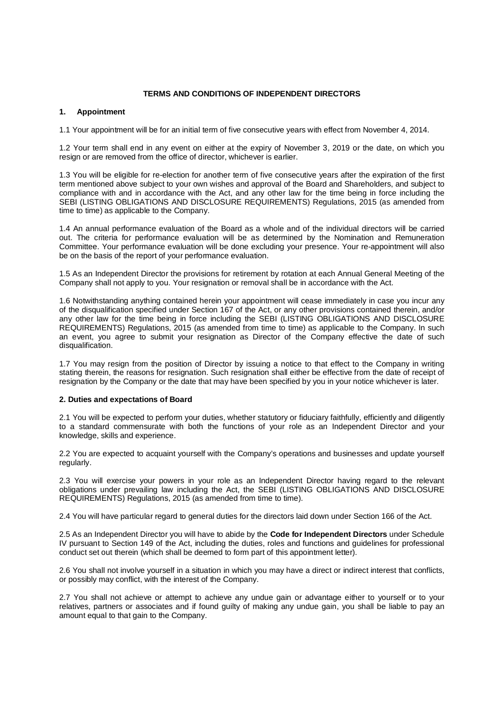# **TERMS AND CONDITIONS OF INDEPENDENT DIRECTORS**

# **1. Appointment**

1.1 Your appointment will be for an initial term of five consecutive years with effect from November 4, 2014.

1.2 Your term shall end in any event on either at the expiry of November 3, 2019 or the date, on which you resign or are removed from the office of director, whichever is earlier.

1.3 You will be eligible for re-election for another term of five consecutive years after the expiration of the first term mentioned above subject to your own wishes and approval of the Board and Shareholders, and subject to compliance with and in accordance with the Act, and any other law for the time being in force including the SEBI (LISTING OBLIGATIONS AND DISCLOSURE REQUIREMENTS) Regulations, 2015 (as amended from time to time) as applicable to the Company.

1.4 An annual performance evaluation of the Board as a whole and of the individual directors will be carried out. The criteria for performance evaluation will be as determined by the Nomination and Remuneration Committee. Your performance evaluation will be done excluding your presence. Your re-appointment will also be on the basis of the report of your performance evaluation.

1.5 As an Independent Director the provisions for retirement by rotation at each Annual General Meeting of the Company shall not apply to you. Your resignation or removal shall be in accordance with the Act.

1.6 Notwithstanding anything contained herein your appointment will cease immediately in case you incur any of the disqualification specified under Section 167 of the Act, or any other provisions contained therein, and/or any other law for the time being in force including the SEBI (LISTING OBLIGATIONS AND DISCLOSURE REQUIREMENTS) Regulations, 2015 (as amended from time to time) as applicable to the Company. In such an event, you agree to submit your resignation as Director of the Company effective the date of such disqualification.

1.7 You may resign from the position of Director by issuing a notice to that effect to the Company in writing stating therein, the reasons for resignation. Such resignation shall either be effective from the date of receipt of resignation by the Company or the date that may have been specified by you in your notice whichever is later.

#### **2. Duties and expectations of Board**

2.1 You will be expected to perform your duties, whether statutory or fiduciary faithfully, efficiently and diligently to a standard commensurate with both the functions of your role as an Independent Director and your knowledge, skills and experience.

2.2 You are expected to acquaint yourself with the Company's operations and businesses and update yourself regularly.

2.3 You will exercise your powers in your role as an Independent Director having regard to the relevant obligations under prevailing law including the Act, the SEBI (LISTING OBLIGATIONS AND DISCLOSURE REQUIREMENTS) Regulations, 2015 (as amended from time to time).

2.4 You will have particular regard to general duties for the directors laid down under Section 166 of the Act.

2.5 As an Independent Director you will have to abide by the **Code for Independent Directors** under Schedule IV pursuant to Section 149 of the Act, including the duties, roles and functions and guidelines for professional conduct set out therein (which shall be deemed to form part of this appointment letter).

2.6 You shall not involve yourself in a situation in which you may have a direct or indirect interest that conflicts, or possibly may conflict, with the interest of the Company.

2.7 You shall not achieve or attempt to achieve any undue gain or advantage either to yourself or to your relatives, partners or associates and if found guilty of making any undue gain, you shall be liable to pay an amount equal to that gain to the Company.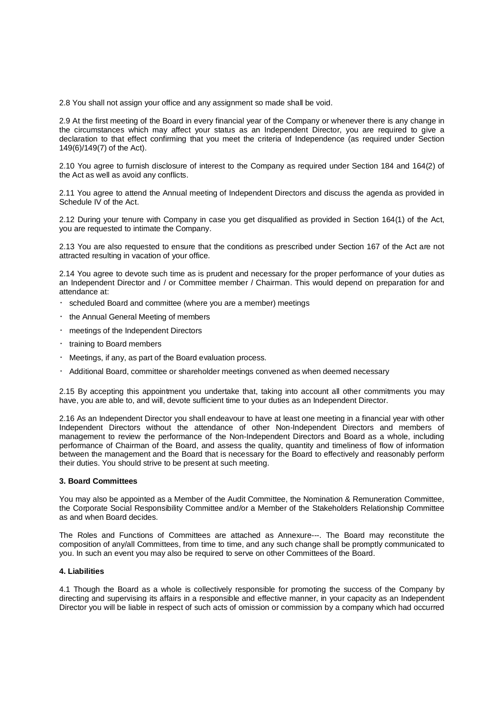2.8 You shall not assign your office and any assignment so made shall be void.

2.9 At the first meeting of the Board in every financial year of the Company or whenever there is any change in the circumstances which may affect your status as an Independent Director, you are required to give a declaration to that effect confirming that you meet the criteria of Independence (as required under Section 149(6)/149(7) of the Act).

2.10 You agree to furnish disclosure of interest to the Company as required under Section 184 and 164(2) of the Act as well as avoid any conflicts.

2.11 You agree to attend the Annual meeting of Independent Directors and discuss the agenda as provided in Schedule IV of the Act.

2.12 During your tenure with Company in case you get disqualified as provided in Section 164(1) of the Act, you are requested to intimate the Company.

2.13 You are also requested to ensure that the conditions as prescribed under Section 167 of the Act are not attracted resulting in vacation of your office.

2.14 You agree to devote such time as is prudent and necessary for the proper performance of your duties as an Independent Director and / or Committee member / Chairman. This would depend on preparation for and attendance at:

- scheduled Board and committee (where you are a member) meetings
- the Annual General Meeting of members
- meetings of the Independent Directors
- training to Board members
- Meetings, if any, as part of the Board evaluation process.
- Additional Board, committee or shareholder meetings convened as when deemed necessary

2.15 By accepting this appointment you undertake that, taking into account all other commitments you may have, you are able to, and will, devote sufficient time to your duties as an Independent Director.

2.16 As an Independent Director you shall endeavour to have at least one meeting in a financial year with other Independent Directors without the attendance of other Non-Independent Directors and members of management to review the performance of the Non-Independent Directors and Board as a whole, including performance of Chairman of the Board, and assess the quality, quantity and timeliness of flow of information between the management and the Board that is necessary for the Board to effectively and reasonably perform their duties. You should strive to be present at such meeting.

#### **3. Board Committees**

You may also be appointed as a Member of the Audit Committee, the Nomination & Remuneration Committee, the Corporate Social Responsibility Committee and/or a Member of the Stakeholders Relationship Committee as and when Board decides.

The Roles and Functions of Committees are attached as Annexure---. The Board may reconstitute the composition of any/all Committees, from time to time, and any such change shall be promptly communicated to you. In such an event you may also be required to serve on other Committees of the Board.

# **4. Liabilities**

4.1 Though the Board as a whole is collectively responsible for promoting the success of the Company by directing and supervising its affairs in a responsible and effective manner, in your capacity as an Independent Director you will be liable in respect of such acts of omission or commission by a company which had occurred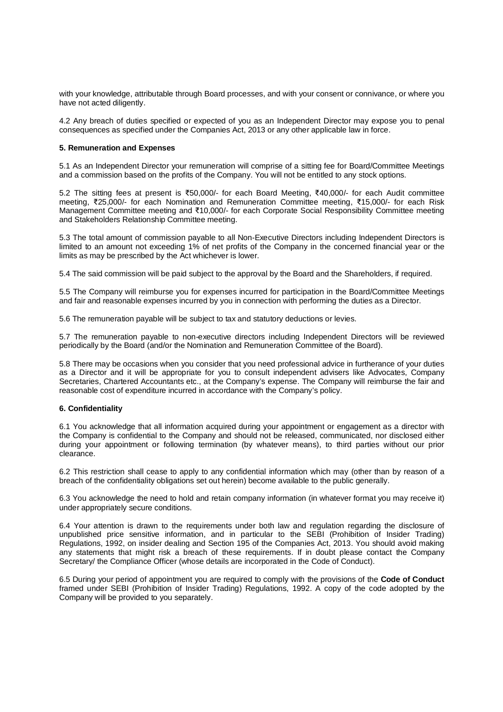with your knowledge, attributable through Board processes, and with your consent or connivance, or where you have not acted diligently.

4.2 Any breach of duties specified or expected of you as an Independent Director may expose you to penal consequences as specified under the Companies Act, 2013 or any other applicable law in force.

### **5. Remuneration and Expenses**

5.1 As an Independent Director your remuneration will comprise of a sitting fee for Board/Committee Meetings and a commission based on the profits of the Company. You will not be entitled to any stock options.

5.2 The sitting fees at present is ₹50,000/- for each Board Meeting, ₹40,000/- for each Audit committee meeting, ₹25,000/- for each Nomination and Remuneration Committee meeting, ₹15,000/- for each Risk Management Committee meeting and ₹10,000/- for each Corporate Social Responsibility Committee meeting and Stakeholders Relationship Committee meeting.

5.3 The total amount of commission payable to all Non-Executive Directors including Independent Directors is limited to an amount not exceeding 1% of net profits of the Company in the concerned financial year or the limits as may be prescribed by the Act whichever is lower.

5.4 The said commission will be paid subject to the approval by the Board and the Shareholders, if required.

5.5 The Company will reimburse you for expenses incurred for participation in the Board/Committee Meetings and fair and reasonable expenses incurred by you in connection with performing the duties as a Director.

5.6 The remuneration payable will be subject to tax and statutory deductions or levies.

5.7 The remuneration payable to non-executive directors including Independent Directors will be reviewed periodically by the Board (and/or the Nomination and Remuneration Committee of the Board).

5.8 There may be occasions when you consider that you need professional advice in furtherance of your duties as a Director and it will be appropriate for you to consult independent advisers like Advocates, Company Secretaries, Chartered Accountants etc., at the Company's expense. The Company will reimburse the fair and reasonable cost of expenditure incurred in accordance with the Company's policy.

#### **6. Confidentiality**

6.1 You acknowledge that all information acquired during your appointment or engagement as a director with the Company is confidential to the Company and should not be released, communicated, nor disclosed either during your appointment or following termination (by whatever means), to third parties without our prior clearance.

6.2 This restriction shall cease to apply to any confidential information which may (other than by reason of a breach of the confidentiality obligations set out herein) become available to the public generally.

6.3 You acknowledge the need to hold and retain company information (in whatever format you may receive it) under appropriately secure conditions.

6.4 Your attention is drawn to the requirements under both law and regulation regarding the disclosure of unpublished price sensitive information, and in particular to the SEBI (Prohibition of Insider Trading) Regulations, 1992, on insider dealing and Section 195 of the Companies Act, 2013. You should avoid making any statements that might risk a breach of these requirements. If in doubt please contact the Company Secretary/ the Compliance Officer (whose details are incorporated in the Code of Conduct).

6.5 During your period of appointment you are required to comply with the provisions of the **Code of Conduct**  framed under SEBI (Prohibition of Insider Trading) Regulations, 1992. A copy of the code adopted by the Company will be provided to you separately.